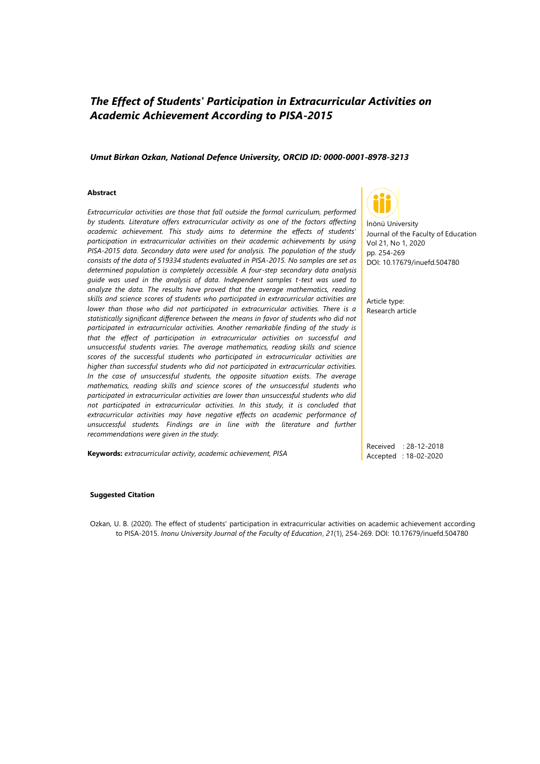# *The Effect of Students' Participation in Extracurricular Activities on Academic Achievement According to PISA-2015*

#### *Umut Birkan Ozkan, National Defence University, ORCID ID: 0000-0001-8978-3213*

#### **Abstract**

*Extracurricular activities are those that fall outside the formal curriculum, performed by students. Literature offers extracurricular activity as one of the factors affecting academic achievement. This study aims to determine the effects of students' participation in extracurricular activities on their academic achievements by using PISA-2015 data. Secondary data were used for analysis. The population of the study consists of the data of 519334 students evaluated in PISA-2015. No samples are set as determined population is completely accessible. A four-step secondary data analysis guide was used in the analysis of data. Independent samples t-test was used to analyze the data. The results have proved that the average mathematics, reading skills and science scores of students who participated in extracurricular activities are lower than those who did not participated in extracurricular activities. There is a statistically significant difference between the means in favor of students who did not participated in extracurricular activities. Another remarkable finding of the study is that the effect of participation in extracurricular activities on successful and unsuccessful students varies. The average mathematics, reading skills and science scores of the successful students who participated in extracurricular activities are higher than successful students who did not participated in extracurricular activities. In the case of unsuccessful students, the opposite situation exists. The average mathematics, reading skills and science scores of the unsuccessful students who participated in extracurricular activities are lower than unsuccessful students who did not participated in extracurricular activities. In this study, it is concluded that extracurricular activities may have negative effects on academic performance of unsuccessful students. Findings are in line with the literature and further recommendations were given in the study.*

**Keywords:** *extracurricular activity, academic achievement, PISA*



İnönü University Journal of the Faculty of Education Vol 21, No 1, 2020 pp. 254-269 DOI: 10.17679/inuefd.504780

Article type: Research article

Received : 28-12-2018 Accepted : 18-02-2020

#### **Suggested Citation**

Ozkan, U. B. (2020). The effect of students' participation in extracurricular activities on academic achievement according to PISA-2015. *Inonu University Journal of the Faculty of Education*, *21*(1), 254-269. DOI: 10.17679/inuefd.504780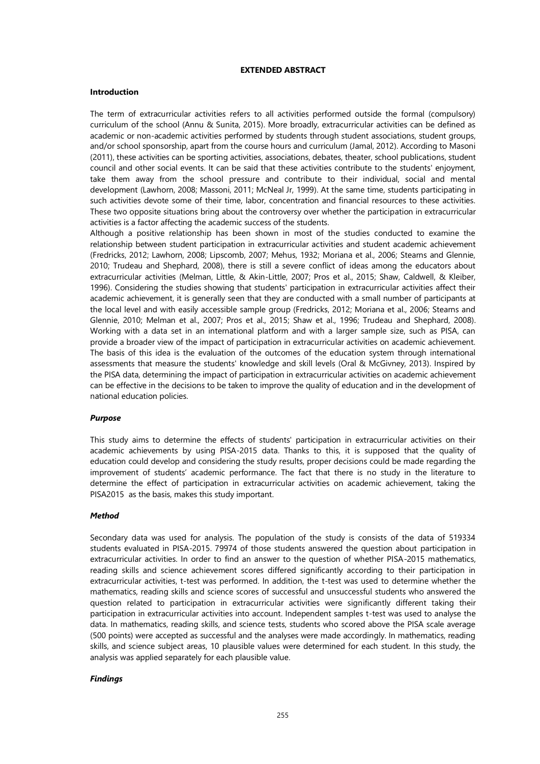# **EXTENDED ABSTRACT**

# **Introduction**

The term of extracurricular activities refers to all activities performed outside the formal (compulsory) curriculum of the school (Annu & Sunita, 2015). More broadly, extracurricular activities can be defined as academic or non-academic activities performed by students through student associations, student groups, and/or school sponsorship, apart from the course hours and curriculum (Jamal, 2012). According to Masoni (2011), these activities can be sporting activities, associations, debates, theater, school publications, student council and other social events. It can be said that these activities contribute to the students' enjoyment, take them away from the school pressure and contribute to their individual, social and mental development (Lawhorn, 2008; Massoni, 2011; McNeal Jr, 1999). At the same time, students participating in such activities devote some of their time, labor, concentration and financial resources to these activities. These two opposite situations bring about the controversy over whether the participation in extracurricular activities is a factor affecting the academic success of the students.

Although a positive relationship has been shown in most of the studies conducted to examine the relationship between student participation in extracurricular activities and student academic achievement (Fredricks, 2012; Lawhorn, 2008; Lipscomb, 2007; Mehus, 1932; Moriana et al., 2006; Stearns and Glennie, 2010; Trudeau and Shephard, 2008), there is still a severe conflict of ideas among the educators about extracurricular activities (Melman, Little, & Akin-Little, 2007; Pros et al., 2015; Shaw, Caldwell, & Kleiber, 1996). Considering the studies showing that students' participation in extracurricular activities affect their academic achievement, it is generally seen that they are conducted with a small number of participants at the local level and with easily accessible sample group (Fredricks, 2012; Moriana et al., 2006; Stearns and Glennie, 2010; Melman et al., 2007; Pros et al., 2015; Shaw et al., 1996; Trudeau and Shephard, 2008). Working with a data set in an international platform and with a larger sample size, such as PISA, can provide a broader view of the impact of participation in extracurricular activities on academic achievement. The basis of this idea is the evaluation of the outcomes of the education system through international assessments that measure the students' knowledge and skill levels (Oral & McGivney, 2013). Inspired by the PISA data, determining the impact of participation in extracurricular activities on academic achievement can be effective in the decisions to be taken to improve the quality of education and in the development of national education policies.

# *Purpose*

This study aims to determine the effects of students' participation in extracurricular activities on their academic achievements by using PISA-2015 data. Thanks to this, it is supposed that the quality of education could develop and considering the study results, proper decisions could be made regarding the improvement of students' academic performance. The fact that there is no study in the literature to determine the effect of participation in extracurricular activities on academic achievement, taking the PISA2015 as the basis, makes this study important.

# *Method*

Secondary data was used for analysis. The population of the study is consists of the data of 519334 students evaluated in PISA-2015. 79974 of those students answered the question about participation in extracurricular activities. In order to find an answer to the question of whether PISA-2015 mathematics, reading skills and science achievement scores differed significantly according to their participation in extracurricular activities, t-test was performed. In addition, the t-test was used to determine whether the mathematics, reading skills and science scores of successful and unsuccessful students who answered the question related to participation in extracurricular activities were significantly different taking their participation in extracurricular activities into account. Independent samples t-test was used to analyse the data. In mathematics, reading skills, and science tests, students who scored above the PISA scale average (500 points) were accepted as successful and the analyses were made accordingly. In mathematics, reading skills, and science subject areas, 10 plausible values were determined for each student. In this study, the analysis was applied separately for each plausible value.

# *Findings*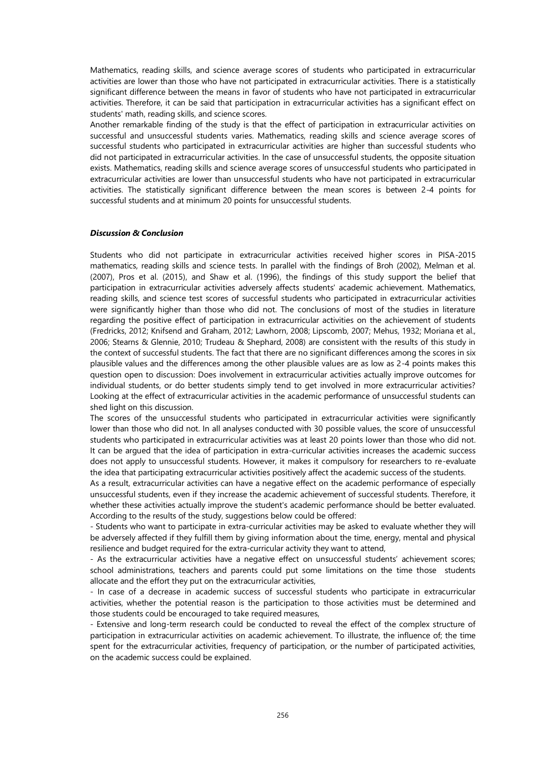Mathematics, reading skills, and science average scores of students who participated in extracurricular activities are lower than those who have not participated in extracurricular activities. There is a statistically significant difference between the means in favor of students who have not participated in extracurricular activities. Therefore, it can be said that participation in extracurricular activities has a significant effect on students' math, reading skills, and science scores.

Another remarkable finding of the study is that the effect of participation in extracurricular activities on successful and unsuccessful students varies. Mathematics, reading skills and science average scores of successful students who participated in extracurricular activities are higher than successful students who did not participated in extracurricular activities. In the case of unsuccessful students, the opposite situation exists. Mathematics, reading skills and science average scores of unsuccessful students who participated in extracurricular activities are lower than unsuccessful students who have not participated in extracurricular activities. The statistically significant difference between the mean scores is between 2-4 points for successful students and at minimum 20 points for unsuccessful students.

# *Discussion & Conclusion*

Students who did not participate in extracurricular activities received higher scores in PISA-2015 mathematics, reading skills and science tests. In parallel with the findings of Broh (2002), Melman et al. (2007), Pros et al. (2015), and Shaw et al. (1996), the findings of this study support the belief that participation in extracurricular activities adversely affects students' academic achievement. Mathematics, reading skills, and science test scores of successful students who participated in extracurricular activities were significantly higher than those who did not. The conclusions of most of the studies in literature regarding the positive effect of participation in extracurricular activities on the achievement of students (Fredricks, 2012; Knifsend and Graham, 2012; Lawhorn, 2008; Lipscomb, 2007; Mehus, 1932; Moriana et al., 2006; Stearns & Glennie, 2010; Trudeau & Shephard, 2008) are consistent with the results of this study in the context of successful students. The fact that there are no significant differences among the scores in six plausible values and the differences among the other plausible values are as low as 2-4 points makes this question open to discussion: Does involvement in extracurricular activities actually improve outcomes for individual students, or do better students simply tend to get involved in more extracurricular activities? Looking at the effect of extracurricular activities in the academic performance of unsuccessful students can shed light on this discussion.

The scores of the unsuccessful students who participated in extracurricular activities were significantly lower than those who did not. In all analyses conducted with 30 possible values, the score of unsuccessful students who participated in extracurricular activities was at least 20 points lower than those who did not. It can be argued that the idea of participation in extra-curricular activities increases the academic success does not apply to unsuccessful students. However, it makes it compulsory for researchers to re-evaluate the idea that participating extracurricular activities positively affect the academic success of the students.

As a result, extracurricular activities can have a negative effect on the academic performance of especially unsuccessful students, even if they increase the academic achievement of successful students. Therefore, it whether these activities actually improve the student's academic performance should be better evaluated. According to the results of the study, suggestions below could be offered:

- Students who want to participate in extra-curricular activities may be asked to evaluate whether they will be adversely affected if they fulfill them by giving information about the time, energy, mental and physical resilience and budget required for the extra-curricular activity they want to attend,

- As the extracurricular activities have a negative effect on unsuccessful students' achievement scores; school administrations, teachers and parents could put some limitations on the time those students allocate and the effort they put on the extracurricular activities,

- In case of a decrease in academic success of successful students who participate in extracurricular activities, whether the potential reason is the participation to those activities must be determined and those students could be encouraged to take required measures,

- Extensive and long-term research could be conducted to reveal the effect of the complex structure of participation in extracurricular activities on academic achievement. To illustrate, the influence of; the time spent for the extracurricular activities, frequency of participation, or the number of participated activities, on the academic success could be explained.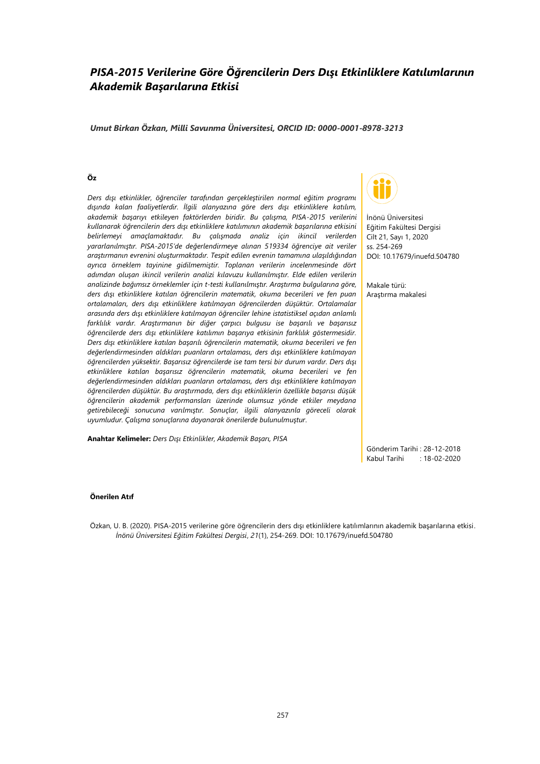# *PISA-2015 Verilerine Göre Öğrencilerin Ders Dışı Etkinliklere Katılımlarının Akademik Başarılarına Etkisi*

## *Umut Birkan Özkan, Milli Savunma Üniversitesi, ORCID ID: 0000-0001-8978-3213*

## **Öz**

*Ders dışı etkinlikler, öğrenciler tarafından gerçekleştirilen normal eğitim programı dışında kalan faaliyetlerdir. İlgili alanyazına göre ders dışı etkinliklere katılım, akademik başarıyı etkileyen faktörlerden biridir. Bu çalışma, PISA-2015 verilerini kullanarak öğrencilerin ders dışı etkinliklere katılımının akademik başarılarına etkisini belirlemeyi amaçlamaktadır. Bu çalışmada analiz için ikincil verilerden yararlanılmıştır. PISA-2015'de değerlendirmeye alınan 519334 öğrenciye ait veriler araştırmanın evrenini oluşturmaktadır. Tespit edilen evrenin tamamına ulaşıldığından ayrıca örneklem tayinine gidilmemiştir. Toplanan verilerin incelenmesinde dört adımdan oluşan ikincil verilerin analizi kılavuzu kullanılmıştır. Elde edilen verilerin analizinde bağımsız örneklemler için t-testi kullanılmıştır. Araştırma bulgularına göre, ders dışı etkinliklere katılan öğrencilerin matematik, okuma becerileri ve fen puan ortalamaları, ders dışı etkinliklere katılmayan öğrencilerden düşüktür. Ortalamalar arasında ders dışı etkinliklere katılmayan öğrenciler lehine istatistiksel açıdan anlamlı farklılık vardır. Araştırmanın bir diğer çarpıcı bulgusu ise başarılı ve başarısız öğrencilerde ders dışı etkinliklere katılımın başarıya etkisinin farklılık göstermesidir. Ders dışı etkinliklere katılan başarılı öğrencilerin matematik, okuma becerileri ve fen değerlendirmesinden aldıkları puanların ortalaması, ders dışı etkinliklere katılmayan öğrencilerden yüksektir. Başarısız öğrencilerde ise tam tersi bir durum vardır. Ders dışı etkinliklere katılan başarısız öğrencilerin matematik, okuma becerileri ve fen değerlendirmesinden aldıkları puanların ortalaması, ders dışı etkinliklere katılmayan öğrencilerden düşüktür. Bu araştırmada, ders dışı etkinliklerin özellikle başarısı düşük öğrencilerin akademik performansları üzerinde olumsuz yönde etkiler meydana getirebileceği sonucuna varılmıştır. Sonuçlar, ilgili alanyazınla göreceli olarak uyumludur. Çalışma sonuçlarına dayanarak önerilerde bulunulmuştur.*

**Anahtar Kelimeler:** *Ders Dışı Etkinlikler, Akademik Başarı, PISA*



İnönü Üniversitesi Eğitim Fakültesi Dergisi Cilt 21, Sayı 1, 2020 ss. 254-269 DOI: 10.17679/inuefd.504780

Makale türü: Araştırma makalesi

Gönderim Tarihi : 28-12-2018 Kabul Tarihi : 18-02-2020

#### **Önerilen Atıf**

Özkan, U. B. (2020). PISA-2015 verilerine göre öğrencilerin ders dışı etkinliklere katılımlarının akademik başarılarına etkisi. *İnönü Üniversitesi Eğitim Fakültesi Dergisi*, *21*(1), 254-269. DOI: 10.17679/inuefd.504780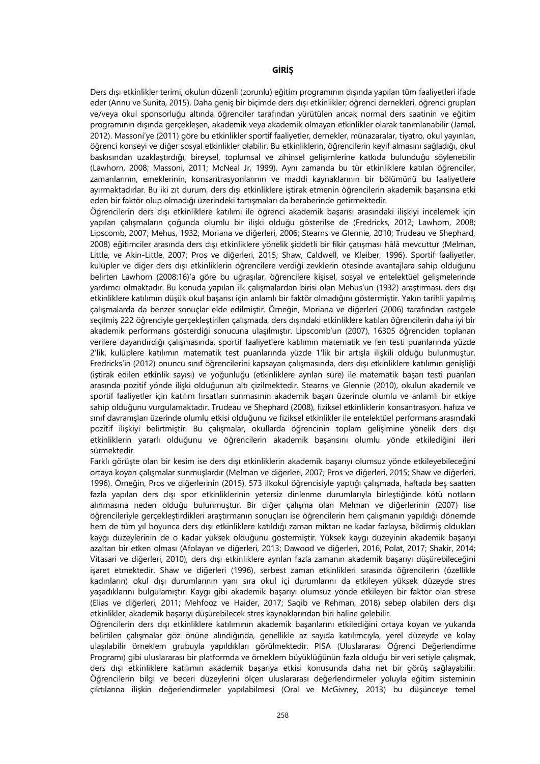Ders dışı etkinlikler terimi, okulun düzenli (zorunlu) eğitim programının dışında yapılan tüm faaliyetleri ifade eder (Annu ve Sunita, 2015). Daha geniş bir biçimde ders dışı etkinlikler; öğrenci dernekleri, öğrenci grupları ve/veya okul sponsorluğu altında öğrenciler tarafından yürütülen ancak normal ders saatinin ve eğitim programının dışında gerçekleşen, akademik veya akademik olmayan etkinlikler olarak tanımlanabilir (Jamal, 2012). Massoni'ye (2011) göre bu etkinlikler sportif faaliyetler, dernekler, münazaralar, tiyatro, okul yayınları, öğrenci konseyi ve diğer sosyal etkinlikler olabilir. Bu etkinliklerin, öğrencilerin keyif almasını sağladığı, okul baskısından uzaklaştırdığı, bireysel, toplumsal ve zihinsel gelişimlerine katkıda bulunduğu söylenebilir (Lawhorn, 2008; Massoni, 2011; McNeal Jr, 1999). Aynı zamanda bu tür etkinliklere katılan öğrenciler, zamanlarının, emeklerinin, konsantrasyonlarının ve maddi kaynaklarının bir bölümünü bu faaliyetlere ayırmaktadırlar. Bu iki zıt durum, ders dışı etkinliklere iştirak etmenin öğrencilerin akademik başarısına etki eden bir faktör olup olmadığı üzerindeki tartışmaları da beraberinde getirmektedir.

Öğrencilerin ders dışı etkinliklere katılımı ile öğrenci akademik başarısı arasındaki ilişkiyi incelemek için yapılan çalışmaların çoğunda olumlu bir ilişki olduğu gösterilse de (Fredricks, 2012; Lawhorn, 2008; Lipscomb, 2007; Mehus, 1932; Moriana ve diğerleri, 2006; Stearns ve Glennie, 2010; Trudeau ve Shephard, 2008) eğitimciler arasında ders dışı etkinliklere yönelik şiddetli bir fikir çatışması hâlâ mevcuttur (Melman, Little, ve Akin-Little, 2007; Pros ve diğerleri, 2015; Shaw, Caldwell, ve Kleiber, 1996). Sportif faaliyetler, kulüpler ve diğer ders dışı etkinliklerin öğrencilere verdiği zevklerin ötesinde avantajlara sahip olduğunu belirten Lawhorn (2008:16)'a göre bu uğraşılar, öğrencilere kişisel, sosyal ve entelektüel gelişmelerinde yardımcı olmaktadır. Bu konuda yapılan ilk çalışmalardan birisi olan Mehus'un (1932) araştırması, ders dışı etkinliklere katılımın düşük okul başarısı için anlamlı bir faktör olmadığını göstermiştir. Yakın tarihli yapılmış çalışmalarda da benzer sonuçlar elde edilmiştir. Örneğin, Moriana ve diğerleri (2006) tarafından rastgele seçilmiş 222 öğrenciyle gerçekleştirilen çalışmada, ders dışındaki etkinliklere katılan öğrencilerin daha iyi bir akademik performans gösterdiği sonucuna ulaşılmıştır. Lipscomb'un (2007), 16305 öğrenciden toplanan verilere dayandırdığı çalışmasında, sportif faaliyetlere katılımın matematik ve fen testi puanlarında yüzde 2'lik, kulüplere katılımın matematik test puanlarında yüzde 1'lik bir artışla ilişkili olduğu bulunmuştur. Fredricks'in (2012) onuncu sınıf öğrencilerini kapsayan çalışmasında, ders dışı etkinliklere katılımın genişliği (iştirak edilen etkinlik sayısı) ve yoğunluğu (etkinliklere ayrılan süre) ile matematik başarı testi puanları arasında pozitif yönde ilişki olduğunun altı çizilmektedir. Stearns ve Glennie (2010), okulun akademik ve sportif faaliyetler için katılım fırsatları sunmasının akademik başarı üzerinde olumlu ve anlamlı bir etkiye sahip olduğunu vurgulamaktadır. Trudeau ve Shephard (2008), fiziksel etkinliklerin konsantrasyon, hafıza ve sınıf davranışları üzerinde olumlu etkisi olduğunu ve fiziksel etkinlikler ile entelektüel performans arasındaki pozitif ilişkiyi belirtmiştir. Bu çalışmalar, okullarda öğrencinin toplam gelişimine yönelik ders dışı etkinliklerin yararlı olduğunu ve öğrencilerin akademik başarısını olumlu yönde etkilediğini ileri sürmektedir.

Farklı görüşte olan bir kesim ise ders dışı etkinliklerin akademik başarıyı olumsuz yönde etkileyebileceğini ortaya koyan çalışmalar sunmuşlardır (Melman ve diğerleri, 2007; Pros ve diğerleri, 2015; Shaw ve diğerleri, 1996). Örneğin, Pros ve diğerlerinin (2015), 573 ilkokul öğrencisiyle yaptığı çalışmada, haftada beş saatten fazla yapılan ders dışı spor etkinliklerinin yetersiz dinlenme durumlarıyla birleştiğinde kötü notların alınmasına neden olduğu bulunmuştur. Bir diğer çalışma olan Melman ve diğerlerinin (2007) lise öğrencileriyle gerçekleştirdikleri araştırmanın sonuçları ise öğrencilerin hem çalışmanın yapıldığı dönemde hem de tüm yıl boyunca ders dışı etkinliklere katıldığı zaman miktarı ne kadar fazlaysa, bildirmiş oldukları kaygı düzeylerinin de o kadar yüksek olduğunu göstermiştir. Yüksek kaygı düzeyinin akademik başarıyı azaltan bir etken olması (Afolayan ve diğerleri, 2013; Dawood ve diğerleri, 2016; Polat, 2017; Shakir, 2014; Vitasari ve diğerleri, 2010), ders dışı etkinliklere ayrılan fazla zamanın akademik başarıyı düşürebileceğini işaret etmektedir. Shaw ve diğerleri (1996), serbest zaman etkinlikleri sırasında öğrencilerin (özellikle kadınların) okul dışı durumlarının yanı sıra okul içi durumlarını da etkileyen yüksek düzeyde stres yaşadıklarını bulgulamıştır. Kaygı gibi akademik başarıyı olumsuz yönde etkileyen bir faktör olan strese (Elias ve diğerleri, 2011; Mehfooz ve Haider, 2017; Saqib ve Rehman, 2018) sebep olabilen ders dışı etkinlikler, akademik başarıyı düşürebilecek stres kaynaklarından biri haline gelebilir.

Öğrencilerin ders dışı etkinliklere katılımının akademik başarılarını etkilediğini ortaya koyan ve yukarıda belirtilen çalışmalar göz önüne alındığında, genellikle az sayıda katılımcıyla, yerel düzeyde ve kolay ulaşılabilir örneklem grubuyla yapıldıkları görülmektedir. PISA (Uluslararası Öğrenci Değerlendirme Programı) gibi uluslararası bir platformda ve örneklem büyüklüğünün fazla olduğu bir veri setiyle çalışmak, ders dışı etkinliklere katılımın akademik başarıya etkisi konusunda daha net bir görüş sağlayabilir. Öğrencilerin bilgi ve beceri düzeylerini ölçen uluslararası değerlendirmeler yoluyla eğitim sisteminin çıktılarına ilişkin değerlendirmeler yapılabilmesi (Oral ve McGivney, 2013) bu düşünceye temel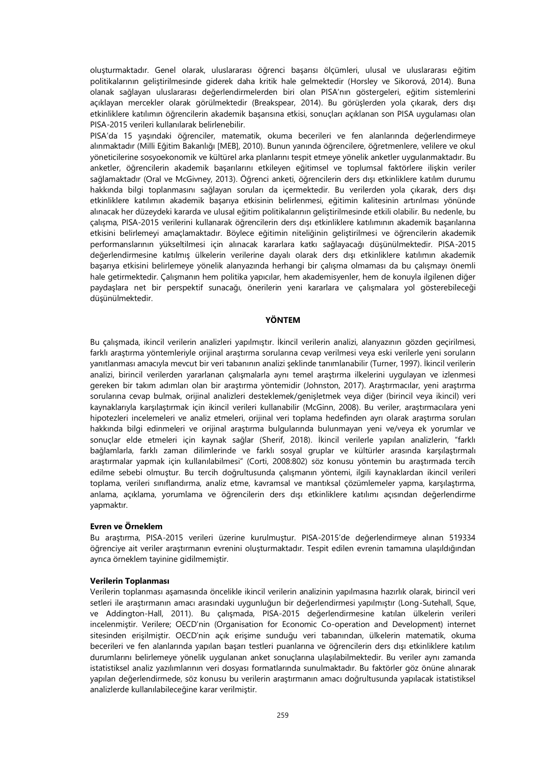oluşturmaktadır. Genel olarak, uluslararası öğrenci başarısı ölçümleri, ulusal ve uluslararası eğitim politikalarının geliştirilmesinde giderek daha kritik hale gelmektedir (Horsley ve Sikorová, 2014). Buna olanak sağlayan uluslararası değerlendirmelerden biri olan PISA'nın göstergeleri, eğitim sistemlerini açıklayan mercekler olarak görülmektedir (Breakspear, 2014). Bu görüşlerden yola çıkarak, ders dışı etkinliklere katılımın öğrencilerin akademik başarısına etkisi, sonuçları açıklanan son PISA uygulaması olan PISA-2015 verileri kullanılarak belirlenebilir.

PISA'da 15 yaşındaki öğrenciler, matematik, okuma becerileri ve fen alanlarında değerlendirmeye alınmaktadır (Milli Eğitim Bakanlığı [MEB], 2010). Bunun yanında öğrencilere, öğretmenlere, velilere ve okul yöneticilerine sosyoekonomik ve kültürel arka planlarını tespit etmeye yönelik anketler uygulanmaktadır. Bu anketler, öğrencilerin akademik başarılarını etkileyen eğitimsel ve toplumsal faktörlere ilişkin veriler sağlamaktadır (Oral ve McGivney, 2013). Öğrenci anketi, öğrencilerin ders dışı etkinliklere katılım durumu hakkında bilgi toplanmasını sağlayan soruları da içermektedir. Bu verilerden yola çıkarak, ders dışı etkinliklere katılımın akademik başarıya etkisinin belirlenmesi, eğitimin kalitesinin artırılması yönünde alınacak her düzeydeki kararda ve ulusal eğitim politikalarının geliştirilmesinde etkili olabilir. Bu nedenle, bu çalışma, PISA-2015 verilerini kullanarak öğrencilerin ders dışı etkinliklere katılımının akademik başarılarına etkisini belirlemeyi amaçlamaktadır. Böylece eğitimin niteliğinin geliştirilmesi ve öğrencilerin akademik performanslarının yükseltilmesi için alınacak kararlara katkı sağlayacağı düşünülmektedir. PISA-2015 değerlendirmesine katılmış ülkelerin verilerine dayalı olarak ders dışı etkinliklere katılımın akademik başarıya etkisini belirlemeye yönelik alanyazında herhangi bir çalışma olmaması da bu çalışmayı önemli hale getirmektedir. Çalışmanın hem politika yapıcılar, hem akademisyenler, hem de konuyla ilgilenen diğer paydaşlara net bir perspektif sunacağı, önerilerin yeni kararlara ve çalışmalara yol gösterebileceği düşünülmektedir.

## **YÖNTEM**

Bu çalışmada, ikincil verilerin analizleri yapılmıştır. İkincil verilerin analizi, alanyazının gözden geçirilmesi, farklı araştırma yöntemleriyle orijinal araştırma sorularına cevap verilmesi veya eski verilerle yeni soruların yanıtlanması amacıyla mevcut bir veri tabanının analizi şeklinde tanımlanabilir (Turner, 1997). İkincil verilerin analizi, birincil verilerden yararlanan çalışmalarla aynı temel araştırma ilkelerini uygulayan ve izlenmesi gereken bir takım adımları olan bir araştırma yöntemidir (Johnston, 2017). Araştırmacılar, yeni araştırma sorularına cevap bulmak, orijinal analizleri desteklemek/genişletmek veya diğer (birincil veya ikincil) veri kaynaklarıyla karşılaştırmak için ikincil verileri kullanabilir (McGinn, 2008). Bu veriler, araştırmacılara yeni hipotezleri incelemeleri ve analiz etmeleri, orijinal veri toplama hedefinden ayrı olarak araştırma soruları hakkında bilgi edinmeleri ve orijinal araştırma bulgularında bulunmayan yeni ve/veya ek yorumlar ve sonuçlar elde etmeleri için kaynak sağlar (Sherif, 2018). İkincil verilerle yapılan analizlerin, "farklı bağlamlarla, farklı zaman dilimlerinde ve farklı sosyal gruplar ve kültürler arasında karşılaştırmalı araştırmalar yapmak için kullanılabilmesi" (Corti, 2008:802) söz konusu yöntemin bu araştırmada tercih edilme sebebi olmuştur. Bu tercih doğrultusunda çalışmanın yöntemi, ilgili kaynaklardan ikincil verileri toplama, verileri sınıflandırma, analiz etme, kavramsal ve mantıksal çözümlemeler yapma, karşılaştırma, anlama, açıklama, yorumlama ve öğrencilerin ders dışı etkinliklere katılımı açısından değerlendirme yapmaktır.

#### **Evren ve Örneklem**

Bu araştırma, PISA-2015 verileri üzerine kurulmuştur. PISA-2015'de değerlendirmeye alınan 519334 öğrenciye ait veriler araştırmanın evrenini oluşturmaktadır. Tespit edilen evrenin tamamına ulaşıldığından ayrıca örneklem tayinine gidilmemiştir.

# **Verilerin Toplanması**

Verilerin toplanması aşamasında öncelikle ikincil verilerin analizinin yapılmasına hazırlık olarak, birincil veri setleri ile araştırmanın amacı arasındaki uygunluğun bir değerlendirmesi yapılmıştır (Long-Sutehall, Sque, ve Addington-Hall, 2011). Bu çalışmada, PISA-2015 değerlendirmesine katılan ülkelerin verileri incelenmiştir. Verilere; OECD'nin (Organisation for Economic Co-operation and Development) internet sitesinden erişilmiştir. OECD'nin açık erişime sunduğu veri tabanından, ülkelerin matematik, okuma becerileri ve fen alanlarında yapılan başarı testleri puanlarına ve öğrencilerin ders dışı etkinliklere katılım durumlarını belirlemeye yönelik uygulanan anket sonuçlarına ulaşılabilmektedir. Bu veriler aynı zamanda istatistiksel analiz yazılımlarının veri dosyası formatlarında sunulmaktadır. Bu faktörler göz önüne alınarak yapılan değerlendirmede, söz konusu bu verilerin araştırmanın amacı doğrultusunda yapılacak istatistiksel analizlerde kullanılabileceğine karar verilmiştir.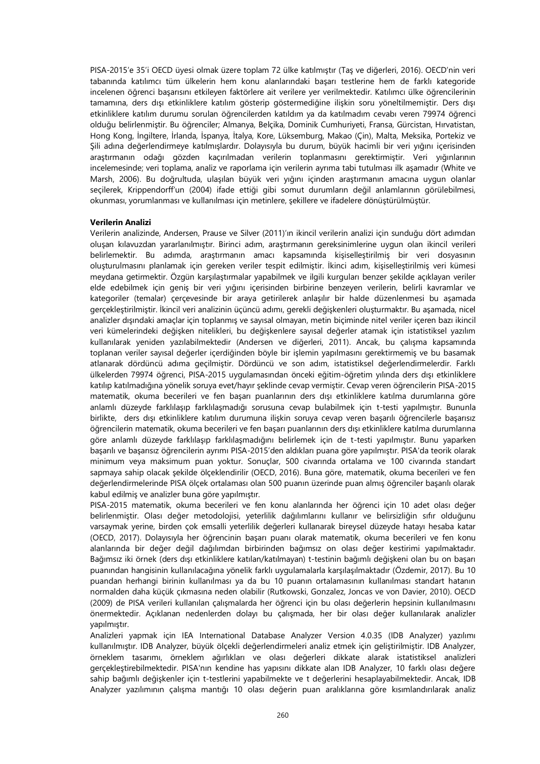PISA-2015'e 35'i OECD üyesi olmak üzere toplam 72 ülke katılmıştır (Taş ve diğerleri, 2016). OECD'nin veri tabanında katılımcı tüm ülkelerin hem konu alanlarındaki başarı testlerine hem de farklı kategoride incelenen öğrenci başarısını etkileyen faktörlere ait verilere yer verilmektedir. Katılımcı ülke öğrencilerinin tamamına, ders dışı etkinliklere katılım gösterip göstermediğine ilişkin soru yöneltilmemiştir. Ders dışı etkinliklere katılım durumu sorulan öğrencilerden katıldım ya da katılmadım cevabı veren 79974 öğrenci olduğu belirlenmiştir. Bu öğrenciler; Almanya, Belçika, Dominik Cumhuriyeti, Fransa, Gürcistan, Hırvatistan, Hong Kong, İngiltere, İrlanda, İspanya, İtalya, Kore, Lüksemburg, Makao (Çin), Malta, Meksika, Portekiz ve Şili adına değerlendirmeye katılmışlardır. Dolayısıyla bu durum, büyük hacimli bir veri yığını içerisinden araştırmanın odağı gözden kaçırılmadan verilerin toplanmasını gerektirmiştir. Veri yığınlarının incelemesinde; veri toplama, analiz ve raporlama için verilerin ayrıma tabi tutulması ilk aşamadır (White ve Marsh, 2006). Bu doğrultuda, ulaşılan büyük veri yığını içinden araştırmanın amacına uygun olanlar seçilerek, Krippendorff'un (2004) ifade ettiği gibi somut durumların değil anlamlarının görülebilmesi, okunması, yorumlanması ve kullanılması için metinlere, şekillere ve ifadelere dönüştürülmüştür.

# **Verilerin Analizi**

Verilerin analizinde, Andersen, Prause ve Silver (2011)'ın ikincil verilerin analizi için sunduğu dört adımdan oluşan kılavuzdan yararlanılmıştır. Birinci adım, araştırmanın gereksinimlerine uygun olan ikincil verileri belirlemektir. Bu adımda, araştırmanın amacı kapsamında kişiselleştirilmiş bir veri dosyasının oluşturulmasını planlamak için gereken veriler tespit edilmiştir. İkinci adım, kişiselleştirilmiş veri kümesi meydana getirmektir. Özgün karşılaştırmalar yapabilmek ve ilgili kurguları benzer şekilde açıklayan veriler elde edebilmek için geniş bir veri yığını içerisinden birbirine benzeyen verilerin, belirli kavramlar ve kategoriler (temalar) çerçevesinde bir araya getirilerek anlaşılır bir halde düzenlenmesi bu aşamada gerçekleştirilmiştir. İkincil veri analizinin üçüncü adımı, gerekli değişkenleri oluşturmaktır. Bu aşamada, nicel analizler dışındaki amaçlar için toplanmış ve sayısal olmayan, metin biçiminde nitel veriler içeren bazı ikincil veri kümelerindeki değişken nitelikleri, bu değişkenlere sayısal değerler atamak için istatistiksel yazılım kullanılarak yeniden yazılabilmektedir (Andersen ve diğerleri, 2011). Ancak, bu çalışma kapsamında toplanan veriler sayısal değerler içerdiğinden böyle bir işlemin yapılmasını gerektirmemiş ve bu basamak atlanarak dördüncü adıma geçilmiştir. Dördüncü ve son adım, istatistiksel değerlendirmelerdir. Farklı ülkelerden 79974 öğrenci, PISA-2015 uygulamasından önceki eğitim-öğretim yılında ders dışı etkinliklere katılıp katılmadığına yönelik soruya evet/hayır şeklinde cevap vermiştir. Cevap veren öğrencilerin PISA-2015 matematik, okuma becerileri ve fen başarı puanlarının ders dışı etkinliklere katılma durumlarına göre anlamlı düzeyde farklılaşıp farklılaşmadığı sorusuna cevap bulabilmek için t-testi yapılmıştır. Bununla birlikte, ders dışı etkinliklere katılım durumuna ilişkin soruya cevap veren başarılı öğrencilerle başarısız öğrencilerin matematik, okuma becerileri ve fen başarı puanlarının ders dışı etkinliklere katılma durumlarına göre anlamlı düzeyde farklılaşıp farklılaşmadığını belirlemek için de t-testi yapılmıştır. Bunu yaparken başarılı ve başarısız öğrencilerin ayrımı PISA-2015'den aldıkları puana göre yapılmıştır. PISA'da teorik olarak minimum veya maksimum puan yoktur. Sonuçlar, 500 civarında ortalama ve 100 civarında standart sapmaya sahip olacak şekilde ölçeklendirilir (OECD, 2016). Buna göre, matematik, okuma becerileri ve fen değerlendirmelerinde PISA ölçek ortalaması olan 500 puanın üzerinde puan almış öğrenciler başarılı olarak kabul edilmiş ve analizler buna göre yapılmıştır.

PISA-2015 matematik, okuma becerileri ve fen konu alanlarında her öğrenci için 10 adet olası değer belirlenmiştir. Olası değer metodolojisi, yeterlilik dağılımlarını kullanır ve belirsizliğin sıfır olduğunu varsaymak yerine, birden çok emsalli yeterlilik değerleri kullanarak bireysel düzeyde hatayı hesaba katar (OECD, 2017). Dolayısıyla her öğrencinin başarı puanı olarak matematik, okuma becerileri ve fen konu alanlarında bir değer değil dağılımdan birbirinden bağımsız on olası değer kestirimi yapılmaktadır. Bağımsız iki örnek (ders dışı etkinliklere katılan/katılmayan) t-testinin bağımlı değişkeni olan bu on başarı puanından hangisinin kullanılacağına yönelik farklı uygulamalarla karşılaşılmaktadır (Özdemir, 2017). Bu 10 puandan herhangi birinin kullanılması ya da bu 10 puanın ortalamasının kullanılması standart hatanın normalden daha küçük çıkmasına neden olabilir (Rutkowski, Gonzalez, Joncas ve von Davier, 2010). OECD (2009) de PISA verileri kullanılan çalışmalarda her öğrenci için bu olası değerlerin hepsinin kullanılmasını önermektedir. Açıklanan nedenlerden dolayı bu çalışmada, her bir olası değer kullanılarak analizler yapılmıştır.

Analizleri yapmak için IEA International Database Analyzer Version 4.0.35 (IDB Analyzer) yazılımı kullanılmıştır. IDB Analyzer, büyük ölçekli değerlendirmeleri analiz etmek için geliştirilmiştir. IDB Analyzer, örneklem tasarımı, örneklem ağırlıkları ve olası değerleri dikkate alarak istatistiksel analizleri gerçekleştirebilmektedir. PISA'nın kendine has yapısını dikkate alan IDB Analyzer, 10 farklı olası değere sahip bağımlı değişkenler için t-testlerini yapabilmekte ve t değerlerini hesaplayabilmektedir. Ancak, IDB Analyzer yazılımının çalışma mantığı 10 olası değerin puan aralıklarına göre kısımlandırılarak analiz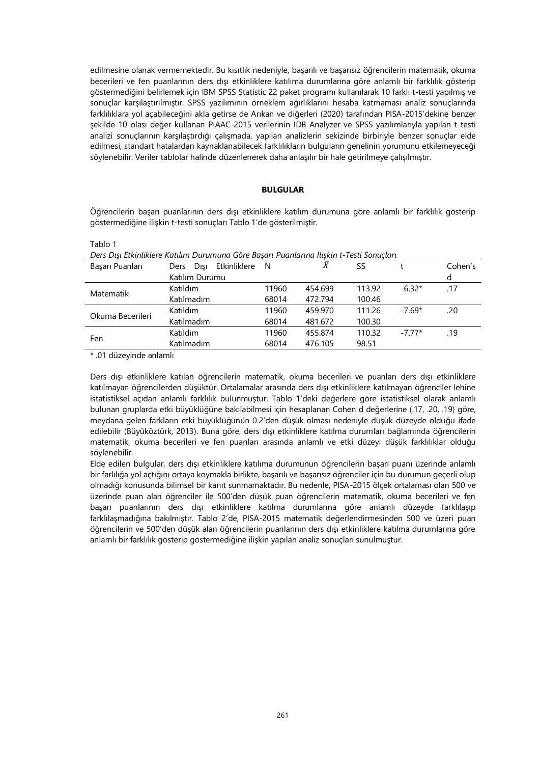edilmesine olanak vermemektedir. Bu kısıtlık nedeniyle, başarılı ve başarısız öğrencilerin matematik, okuma becerileri ve fen puanlarının ders dışı etkinliklere katılıma durumlarına göre anlamlı bir farklılık gösterip göstermediğini belirlemek için IBM SPSS Statistic 22 paket programı kullanılarak 10 farklı t-testi yapılmış ve sonuçlar karşılaştırılmıştır. SPSS yazılımının örneklem ağırlıklarını hesaba katmaması analiz sonuçlarında farklılıklara yol açabileceğini akla getirse de Arıkan ve diğerleri (2020) tarafından PISA-2015'dekine benzer şekilde 10 olası değer kullanan PIAAC-2015 verilerinin IDB Analyzer ve SPSS yazılımlarıyla yapılan t-testi analizi sonuçlarının karşılaştırdığı çalışmada, yapılan analizlerin sekizinde birbiriyle benzer sonuçlar elde edilmesi, standart hatalardan kaynaklanabilecek farklılıkların bulguların genelinin yorumunu etkilemeyeceği söylenebilir. Veriler tablolar halinde düzenlenerek daha anlaşılır bir hale getirilmeye çalışılmıştır.

## **BULGULAR**

Öğrencilerin başarı puanlarının ders dışı etkinliklere katılım durumuna göre anlamlı bir farklılık gösterip göstermediğine ilişkin t-testi sonuçları Tablo 1'de gösterilmiştir.

| an |  |  |
|----|--|--|
|    |  |  |

*Ders Dışı Etkinliklere Katılım Durumuna Göre Başarı Puanlarına İlişkin t-Testi Sonuçları*

| Basarı Puanları  | Etkinliklere<br>Disi<br>Ders | - N   | $\bar{X}$ | SS     |          | Cohen's |
|------------------|------------------------------|-------|-----------|--------|----------|---------|
|                  | Katılım Durumu               |       |           |        |          | d       |
| Matematik        | Katıldım                     | 11960 | 454.699   | 113.92 | $-6.32*$ | .17     |
|                  | Katılmadım                   | 68014 | 472.794   | 100.46 |          |         |
| Okuma Becerileri | Katıldım                     | 11960 | 459.970   | 111.26 | $-7.69*$ | .20     |
|                  | Katılmadım                   | 68014 | 481.672   | 100.30 |          |         |
| Fen              | Katıldım                     | 11960 | 455.874   | 110.32 | $-7.77*$ | .19     |
|                  | Katılmadım                   | 68014 | 476.105   | 98.51  |          |         |

\* .01 düzeyinde anlamlı

Ders dışı etkinliklere katılan öğrencilerin matematik, okuma becerileri ve puanları ders dışı etkinliklere katılmayan öğrencilerden düşüktür. Ortalamalar arasında ders dışı etkinliklere katılmayan öğrenciler lehine istatistiksel açıdan anlamlı farklılık bulunmuştur. Tablo 1'deki değerlere göre istatistiksel olarak anlamlı bulunan gruplarda etki büyüklüğüne bakılabilmesi için hesaplanan Cohen d değerlerine (.17, .20, .19) göre, meydana gelen farkların etki büyüklüğünün 0.2'den düşük olması nedeniyle düşük düzeyde olduğu ifade edilebilir (Büyüköztürk, 2013). Buna göre, ders dışı etkinliklere katılma durumları bağlamında öğrencilerin matematik, okuma becerileri ve fen puanları arasında anlamlı ve etki düzeyi düşük farklılıklar olduğu söylenebilir.

Elde edilen bulgular, ders dışı etkinliklere katılıma durumunun öğrencilerin başarı puanı üzerinde anlamlı bir farlılığa yol açtığını ortaya koymakla birlikte, başarılı ve başarısız öğrenciler için bu durumun geçerli olup olmadığı konusunda bilimsel bir kanıt sunmamaktadır. Bu nedenle, PISA-2015 ölçek ortalaması olan 500 ve üzerinde puan alan öğrenciler ile 500'den düşük puan öğrencilerin matematik, okuma becerileri ve fen başarı puanlarının ders dışı etkinliklere katılma durumlarına göre anlamlı düzeyde farklılaşıp farklılaşmadığına bakılmıştır. Tablo 2'de, PISA-2015 matematik değerlendirmesinden 500 ve üzeri puan öğrencilerin ve 500'den düşük alan öğrencilerin puanlarının ders dışı etkinliklere katılma durumlarına göre anlamlı bir farklılık gösterip göstermediğine ilişkin yapılan analiz sonuçları sunulmuştur.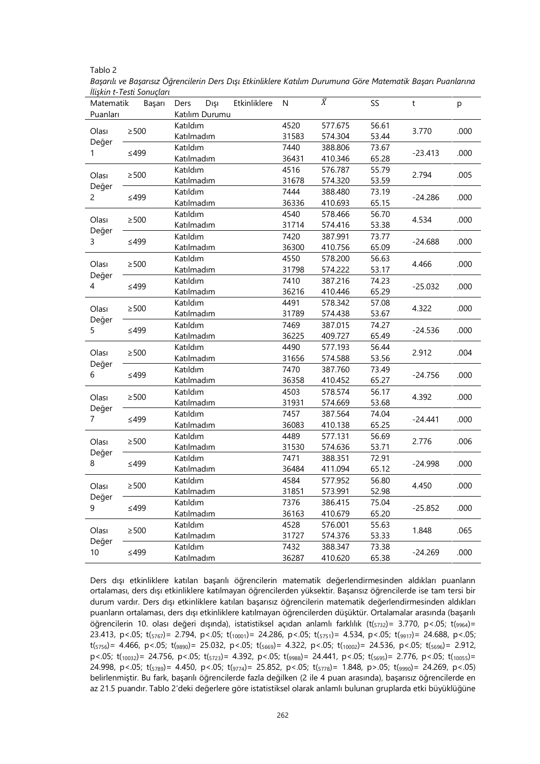| abic |  |
|------|--|
|------|--|

*Başarılı ve Başarısız Öğrencilerin Ders Dışı Etkinliklere Katılım Durumuna Göre Matematik Başarı Puanlarına İlişkin t-Testi Sonuçları*

|                                 | $\mu$ in kuni terbat surut kuni |                                      |                        |               |                        |                               |                         |              |      |
|---------------------------------|---------------------------------|--------------------------------------|------------------------|---------------|------------------------|-------------------------------|-------------------------|--------------|------|
| Matematik<br>Başarı<br>Puanları |                                 | Ders                                 | Dışı<br>Katılım Durumu | Etkinliklere  | N                      | $\bar{X}$                     | SS                      | $\mathsf{t}$ | p    |
| Olası                           | $\geq$ 500                      | Katıldım<br>Katılmadım               |                        |               | 4520<br>31583          | 577.675<br>574.304            | 56.61<br>53.44          | 3.770        | .000 |
| Değer<br>1                      | $\leq$ 499                      | Katıldım                             |                        |               | 7440                   | 388.806                       | 73.67                   | $-23.413$    | .000 |
| $\geq$ 500<br>Olası             |                                 | Katılmadım<br>Katıldım               |                        | 36431<br>4516 | 410.346<br>576.787     | 65.28<br>55.79                | 2.794                   | .005         |      |
| Değer                           |                                 | Katılmadım<br>Katıldım               |                        |               | 31678<br>7444          | 574.320<br>388.480            | 53.59<br>73.19          |              |      |
| $\overline{c}$                  | $\leq$ 499                      | Katılmadım                           |                        |               | 36336                  | 410.693                       | 65.15                   | $-24.286$    | .000 |
| Olası<br>Değer                  | $\geq$ 500                      | Katıldım<br>Katılmadım               |                        |               | 4540<br>31714          | 578.466<br>574.416            | 56.70<br>53.38          | 4.534        | .000 |
| 3                               | $≤499$                          | Katıldım<br>Katılmadım               |                        |               | 7420<br>36300          | 387.991<br>410.756            | 73.77<br>65.09          | -24.688      | .000 |
| Olası                           | $\geq$ 500                      | Katıldım<br>Katılmadım               |                        |               | 4550<br>31798          | 578.200<br>574.222            | 56.63<br>53.17          | 4.466        | .000 |
| Değer<br>4                      | $\leq$ 499                      | Katıldım                             |                        |               | 7410<br>36216          | 387.216<br>410.446            | 74.23                   | $-25.032$    | .000 |
| Olası                           | $\geq$ 500                      | Katılmadım<br>Katıldım               |                        |               | 4491                   | 578.342                       | 65.29<br>57.08          | 4.322        | .000 |
| Değer<br>5                      | $≤499$                          | Katılmadım<br>Katıldım               |                        | 31789<br>7469 | 574.438<br>387.015     | 53.67<br>74.27                | $-24.536$               | .000         |      |
|                                 |                                 | Katılmadım<br>Katıldım               |                        |               | 36225<br>4490          | 409.727<br>577.193            | 65.49<br>56.44          |              |      |
| Olası<br>Değer                  | $\geq$ 500                      | Katılmadım                           |                        |               | 31656                  | 574.588                       | 53.56                   | 2.912        | .004 |
| 6                               | ≤499                            | Katıldım<br>Katılmadım               |                        |               | 7470<br>36358          | 387.760<br>410.452            | 73.49<br>65.27          | $-24.756$    | .000 |
| Olası                           | $\geq$ 500                      | Katıldım<br>Katılmadım               |                        |               | 4503<br>31931          | 578.574<br>574.669            | 56.17<br>53.68          | 4.392        | .000 |
| Değer<br>$\overline{7}$         | $≤499$                          | Katıldım<br>Katılmadım               |                        |               | 7457<br>36083          | 387.564<br>410.138            | 74.04<br>65.25          | $-24.441$    | .000 |
| Olası                           | $\geq$ 500                      | Katıldım<br>Katılmadım               |                        |               | 4489<br>31530          | 577.131<br>574.636            | 56.69<br>53.71          | 2.776        | .006 |
| Değer<br>8                      | $≤499$                          | Katıldım<br>Katılmadım               |                        |               | 7471<br>36484          | 388.351<br>411.094            | 72.91<br>65.12          | -24.998      | .000 |
| Olası                           | $\geq$ 500                      | Katıldım                             |                        |               | 4584<br>31851          | 577.952<br>573.991            | 56.80<br>52.98          | 4.450        | .000 |
| Değer<br>9                      | $\leq$ 499                      | Katılmadım<br>Katıldım<br>Katılmadım |                        | 7376<br>36163 | 386.415                | 75.04                         | $-25.852$               | .000         |      |
| Olası                           | $\geq$ 500                      | Katıldım                             |                        |               | 4528                   | 410.679<br>576.001            | 65.20<br>55.63          | 1.848        | .065 |
| Değer<br>10                     | $≤499$                          | Katılmadım<br>Katıldım<br>Katılmadım |                        |               | 31727<br>7432<br>36287 | 574.376<br>388.347<br>410.620 | 53.33<br>73.38<br>65.38 | $-24.269$    | .000 |

Ders dışı etkinliklere katılan başarılı öğrencilerin matematik değerlendirmesinden aldıkları puanların ortalaması, ders dışı etkinliklere katılmayan öğrencilerden yüksektir. Başarısız öğrencilerde ise tam tersi bir durum vardır. Ders dışı etkinliklere katılan başarısız öğrencilerin matematik değerlendirmesinden aldıkları puanların ortalaması, ders dışı etkinliklere katılmayan öğrencilerden düşüktür. Ortalamalar arasında (başarılı öğrencilerin 10. olası değeri dışında), istatistiksel açıdan anlamlı farklılık (t( $5732$ )= 3.770, p<.05; t( $9964$ )= 23.413, p<.05; t(5767)= 2.794, p<.05; t(10001)= 24.286, p<.05; t(5751)= 4.534, p<.05; t(9917)= 24.688, p<.05;  $t(s_{756})$  = 4.466, p <.05;  $t(s_{890})$  = 25.032, p <.05;  $t(s_{669})$  = 4.322, p <.05;  $t(s_{10002})$  = 24.536, p <.05;  $t(s_{696})$  = 2.912,  $p$ <.05; t( $10032$ )= 24.756, p<.05; t( $5723$ )= 4.392, p<.05; t( $9988$ )= 24.441, p<.05; t( $5695$ )= 2.776, p<.05; t( $10055$ )= 24.998, p<.05; t( $_{5789}$ )= 4.450, p<.05; t( $_{9774}$ )= 25.852, p<.05; t( $_{5778}$ )= 1.848, p>.05; t( $_{9990}$ )= 24.269, p<.05) belirlenmiştir. Bu fark, başarılı öğrencilerde fazla değilken (2 ile 4 puan arasında), başarısız öğrencilerde en az 21.5 puandır. Tablo 2'deki değerlere göre istatistiksel olarak anlamlı bulunan gruplarda etki büyüklüğüne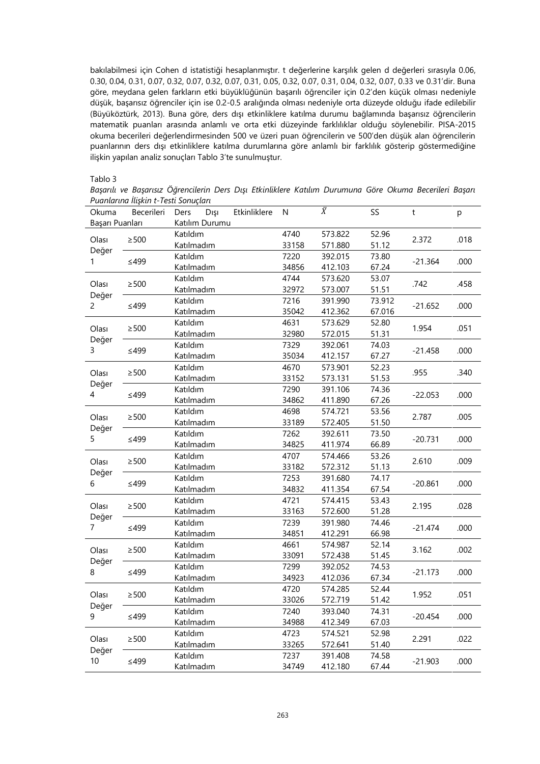bakılabilmesi için Cohen d istatistiği hesaplanmıştır. t değerlerine karşılık gelen d değerleri sırasıyla 0.06, 0.30, 0.04, 0.31, 0.07, 0.32, 0.07, 0.32, 0.07, 0.31, 0.05, 0.32, 0.07, 0.31, 0.04, 0.32, 0.07, 0.33 ve 0.31'dir. Buna göre, meydana gelen farkların etki büyüklüğünün başarılı öğrenciler için 0.2'den küçük olması nedeniyle düşük, başarısız öğrenciler için ise 0.2-0.5 aralığında olması nedeniyle orta düzeyde olduğu ifade edilebilir (Büyüköztürk, 2013). Buna göre, ders dışı etkinliklere katılma durumu bağlamında başarısız öğrencilerin matematik puanları arasında anlamlı ve orta etki düzeyinde farklılıklar olduğu söylenebilir. PISA-2015 okuma becerileri değerlendirmesinden 500 ve üzeri puan öğrencilerin ve 500'den düşük alan öğrencilerin puanlarının ders dışı etkinliklere katılma durumlarına göre anlamlı bir farklılık gösterip göstermediğine ilişkin yapılan analiz sonuçları Tablo 3'te sunulmuştur.

# Tablo 3

*Başarılı ve Başarısız Öğrencilerin Ders Dışı Etkinliklere Katılım Durumuna Göre Okuma Becerileri Başarı Puanlarına İlişkin t-Testi Sonuçları*

| Okuma           | Becerileri | Etkinliklere<br>Ders<br>Dışı | N     | $\overline{\overline{X}}$ | SS     | t         | p    |
|-----------------|------------|------------------------------|-------|---------------------------|--------|-----------|------|
| Basarı Puanları |            | Katılım Durumu               |       |                           |        |           |      |
| Olası           | $\geq$ 500 | Katıldım                     | 4740  | 573.822                   | 52.96  | 2.372     | .018 |
| Değer           |            | Katılmadım                   | 33158 | 571.880                   | 51.12  |           |      |
| 1               | ≤499       | Katıldım                     | 7220  | 392.015                   | 73.80  | $-21.364$ | .000 |
|                 |            | Katılmadım                   | 34856 | 412.103                   | 67.24  |           |      |
| Olası           | $\geq$ 500 | Katıldım                     | 4744  | 573.620                   | 53.07  | .742      | .458 |
| Değer           |            | Katılmadım                   | 32972 | 573.007                   | 51.51  |           |      |
| 2               | $≤499$     | Katıldım                     | 7216  | 391.990                   | 73.912 | $-21.652$ | .000 |
|                 |            | Katılmadım                   | 35042 | 412.362                   | 67.016 |           |      |
| Olası           | $\geq$ 500 | Katıldım                     | 4631  | 573.629                   | 52.80  | 1.954     | .051 |
|                 |            | Katılmadım                   | 32980 | 572.015                   | 51.31  |           |      |
| Değer<br>3      | $\leq$ 499 | Katıldım                     | 7329  | 392.061                   | 74.03  | $-21.458$ | .000 |
|                 |            | Katılmadım                   | 35034 | 412.157                   | 67.27  |           |      |
| Olası           | $\geq$ 500 | Katıldım                     | 4670  | 573.901                   | 52.23  | .955      | .340 |
| Değer           |            | Katılmadım                   | 33152 | 573.131                   | 51.53  |           |      |
| 4               | $≤499$     | Katıldım                     | 7290  | 391.106                   | 74.36  | $-22.053$ | .000 |
|                 |            | Katılmadım                   | 34862 | 411.890                   | 67.26  |           |      |
| Olası           | $\geq$ 500 | Katıldım                     | 4698  | 574.721                   | 53.56  | 2.787     | .005 |
| Değer<br>5      |            | Katılmadım                   | 33189 | 572.405                   | 51.50  |           |      |
|                 | ≤499       | Katıldım                     | 7262  | 392.611                   | 73.50  | $-20.731$ | .000 |
|                 |            | Katılmadım                   | 34825 | 411.974                   | 66.89  |           |      |
| Olası           | $\geq$ 500 | Katıldım                     | 4707  | 574.466                   | 53.26  | 2.610     | .009 |
| Değer           |            | Katılmadım                   | 33182 | 572.312                   | 51.13  |           |      |
| 6               | $≤499$     | Katıldım                     | 7253  | 391.680                   | 74.17  | $-20.861$ | .000 |
|                 |            | Katılmadım                   | 34832 | 411.354                   | 67.54  |           |      |
| Olası           | $\geq$ 500 | Katıldım                     | 4721  | 574.415                   | 53.43  | 2.195     | .028 |
| Değer           |            | Katılmadım                   | 33163 | 572.600                   | 51.28  |           |      |
| $\overline{7}$  | $≤499$     | Katıldım                     | 7239  | 391.980                   | 74.46  | $-21.474$ | .000 |
|                 |            | Katılmadım                   | 34851 | 412.291                   | 66.98  |           |      |
| Olası           | $\geq$ 500 | Katıldım                     | 4661  | 574.987                   | 52.14  | 3.162     | .002 |
| Değer           |            | Katılmadım                   | 33091 | 572.438                   | 51.45  |           |      |
| 8               | $≤499$     | Katıldım                     | 7299  | 392.052                   | 74.53  | $-21.173$ | .000 |
|                 |            | Katılmadım                   | 34923 | 412.036                   | 67.34  |           |      |
| Olası           | $\geq$ 500 | Katıldım                     | 4720  | 574.285                   | 52.44  | 1.952     | .051 |
| Değer           |            | Katılmadım                   | 33026 | 572.719                   | 51.42  |           |      |
| 9               |            | Katıldım                     | 7240  | 393.040                   | 74.31  | $-20.454$ | .000 |
|                 | $≤499$     | Katılmadım                   | 34988 | 412.349                   | 67.03  |           |      |
| Olası           | $\geq$ 500 | Katıldım                     | 4723  | 574.521                   | 52.98  |           |      |
|                 |            | Katılmadım                   | 33265 | 572.641                   | 51.40  | 2.291     | .022 |
| Değer           |            | Katıldım                     | 7237  | 391.408                   | 74.58  |           | .000 |
| 10              | $\leq$ 499 | Katılmadım                   | 34749 | 412.180                   | 67.44  | $-21.903$ |      |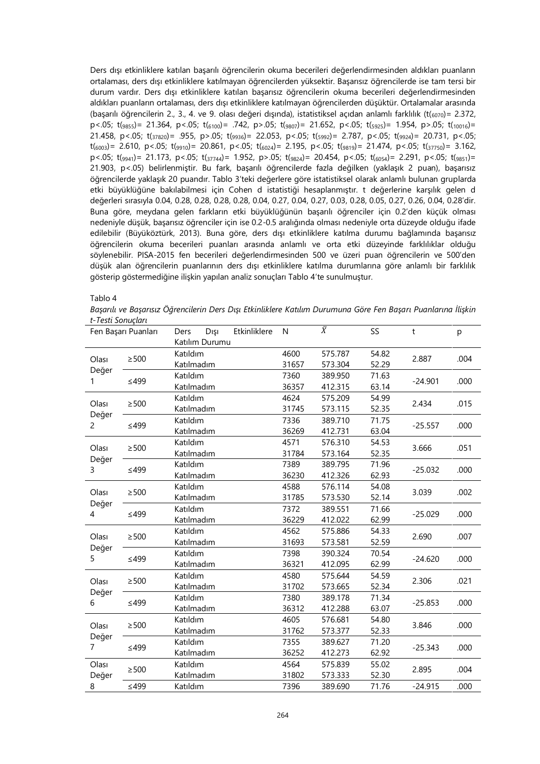Ders dışı etkinliklere katılan başarılı öğrencilerin okuma becerileri değerlendirmesinden aldıkları puanların ortalaması, ders dışı etkinliklere katılmayan öğrencilerden yüksektir. Başarısız öğrencilerde ise tam tersi bir durum vardır. Ders dışı etkinliklere katılan başarısız öğrencilerin okuma becerileri değerlendirmesinden aldıkları puanların ortalaması, ders dışı etkinliklere katılmayan öğrencilerden düşüktür. Ortalamalar arasında (başarılı öğrencilerin 2., 3., 4. ve 9. olası değeri dışında), istatistiksel açıdan anlamlı farklılık (t $(\epsilon_{0070})$ = 2.372, p<.05;  $t_{(9855)} = 21.364$ , p<.05;  $t_{(6100)} = .742$ , p>.05;  $t_{(9807)} = 21.652$ , p<.05;  $t_{(5925)} = 1.954$ , p>.05;  $t_{(10016)} =$ 21.458, p<.05; t(37820)= .955, p>.05; t(9936)= 22.053, p<.05; t(5992)= 2.787, p<.05; t(9924)= 20.731, p<.05;  $t$ (6003) = 2.610, p <.05;  $t$ (9910) = 20.861, p <.05;  $t$ (6024) = 2.195, p <.05;  $t$ (9819) = 21.474, p <.05;  $t$ (37750) = 3.162,  $p$ <.05;  $t(g_{941})$ = 21.173,  $p$ <.05;  $t(g_{744})$ = 1.952,  $p$ >.05;  $t(g_{824})$ = 20.454,  $p$ <.05;  $t(g_{654})$ = 2.291,  $p$ <.05;  $t(g_{851})$ = 21.903, p<.05) belirlenmiştir. Bu fark, başarılı öğrencilerde fazla değilken (yaklaşık 2 puan), başarısız öğrencilerde yaklaşık 20 puandır. Tablo 3'teki değerlere göre istatistiksel olarak anlamlı bulunan gruplarda etki büyüklüğüne bakılabilmesi için Cohen d istatistiği hesaplanmıştır. t değerlerine karşılık gelen d değerleri sırasıyla 0.04, 0.28, 0.28, 0.28, 0.28, 0.04, 0.27, 0.04, 0.27, 0.03, 0.28, 0.05, 0.27, 0.26, 0.04, 0.28'dir. Buna göre, meydana gelen farkların etki büyüklüğünün başarılı öğrenciler için 0.2'den küçük olması nedeniyle düşük, başarısız öğrenciler için ise 0.2-0.5 aralığında olması nedeniyle orta düzeyde olduğu ifade edilebilir (Büyüköztürk, 2013). Buna göre, ders dışı etkinliklere katılma durumu bağlamında başarısız öğrencilerin okuma becerileri puanları arasında anlamlı ve orta etki düzeyinde farklılıklar olduğu söylenebilir. PISA-2015 fen becerileri değerlendirmesinden 500 ve üzeri puan öğrencilerin ve 500'den düşük alan öğrencilerin puanlarının ders dışı etkinliklere katılma durumlarına göre anlamlı bir farklılık gösterip göstermediğine ilişkin yapılan analiz sonuçları Tablo 4'te sunulmuştur.

#### Tablo 4

*Başarılı ve Başarısız Öğrencilerin Ders Dışı Etkinliklere Katılım Durumuna Göre Fen Başarı Puanlarına İlişkin t-Testi Sonuçları*

| Fen Başarı Puanları     |            | Ders       | Dışı           | Etkinliklere | N     | $\overline{\overline{X}}$ | SS    | t         | p    |
|-------------------------|------------|------------|----------------|--------------|-------|---------------------------|-------|-----------|------|
|                         |            |            | Katılım Durumu |              |       |                           |       |           |      |
|                         | $\geq$ 500 | Katıldım   |                |              | 4600  | 575.787                   | 54.82 | 2.887     | .004 |
| Olası<br>Değer          |            | Katılmadım |                |              | 31657 | 573.304                   | 52.29 |           |      |
| 1                       | $≤499$     | Katıldım   |                |              | 7360  | 389.950                   | 71.63 | $-24.901$ | .000 |
|                         |            | Katılmadım |                |              | 36357 | 412.315                   | 63.14 |           |      |
| Olası                   | $\geq$ 500 | Katıldım   |                |              | 4624  | 575.209                   | 54.99 | 2.434     | .015 |
|                         |            | Katılmadım |                |              | 31745 | 573.115                   | 52.35 |           |      |
| Değer<br>$\overline{2}$ | $≤499$     | Katıldım   |                |              | 7336  | 389.710                   | 71.75 | $-25.557$ | .000 |
|                         |            | Katılmadım |                |              | 36269 | 412.731                   | 63.04 |           |      |
| Olası                   | $\geq$ 500 | Katıldım   |                |              | 4571  | 576.310                   | 54.53 | 3.666     |      |
|                         |            | Katılmadım |                |              | 31784 | 573.164                   | 52.35 |           | .051 |
| Değer<br>3              | $≤499$     | Katıldım   |                |              | 7389  | 389.795                   | 71.96 | $-25.032$ | .000 |
|                         |            | Katılmadım |                |              | 36230 | 412.326                   | 62.93 |           |      |
| Olası                   | $\geq$ 500 | Katıldım   |                |              | 4588  | 576.114                   | 54.08 | 3.039     | .002 |
|                         |            | Katılmadım |                |              | 31785 | 573.530                   | 52.14 |           |      |
| Değer<br>4              | $≤499$     | Katıldım   |                |              | 7372  | 389.551                   | 71.66 | $-25.029$ | .000 |
|                         |            | Katılmadım |                |              | 36229 | 412.022                   | 62.99 |           |      |
| Olası                   | $\geq$ 500 | Katıldım   |                |              | 4562  | 575.886                   | 54.33 | 2.690     | .007 |
| Değer                   |            | Katılmadım |                |              | 31693 | 573.581                   | 52.59 |           |      |
| 5                       | $≤499$     | Katıldım   |                |              | 7398  | 390.324                   | 70.54 | $-24.620$ | .000 |
|                         |            | Katılmadım |                |              | 36321 | 412.095                   | 62.99 |           |      |
| Olası                   | $\geq$ 500 | Katıldım   |                |              | 4580  | 575.644                   | 54.59 | 2.306     | .021 |
|                         |            | Katılmadım |                |              | 31702 | 573.665                   | 52.34 |           |      |
| Değer<br>6              |            | Katıldım   |                |              | 7380  | 389.178                   | 71.34 |           |      |
|                         | ≤499       | Katılmadım |                |              | 36312 | 412.288                   | 63.07 | $-25.853$ | .000 |
| Olası                   |            | Katıldım   |                |              | 4605  | 576.681                   | 54.80 | 3.846     | .000 |
|                         | $\geq$ 500 | Katılmadım |                |              | 31762 | 573.377                   | 52.33 |           |      |
| Değer<br>$\overline{7}$ |            | Katıldım   |                |              | 7355  | 389.627                   | 71.20 | $-25.343$ | .000 |
|                         | $≤499$     | Katılmadım |                |              | 36252 | 412.273                   | 62.92 |           |      |
| Olası                   |            | Katıldım   |                |              | 4564  | 575.839                   | 55.02 | 2.895     | .004 |
| Değer                   | $\geq$ 500 | Katılmadım |                |              | 31802 | 573.333                   | 52.30 |           |      |
| 8                       | $≤499$     | Katıldım   |                |              | 7396  | 389.690                   | 71.76 | $-24.915$ | .000 |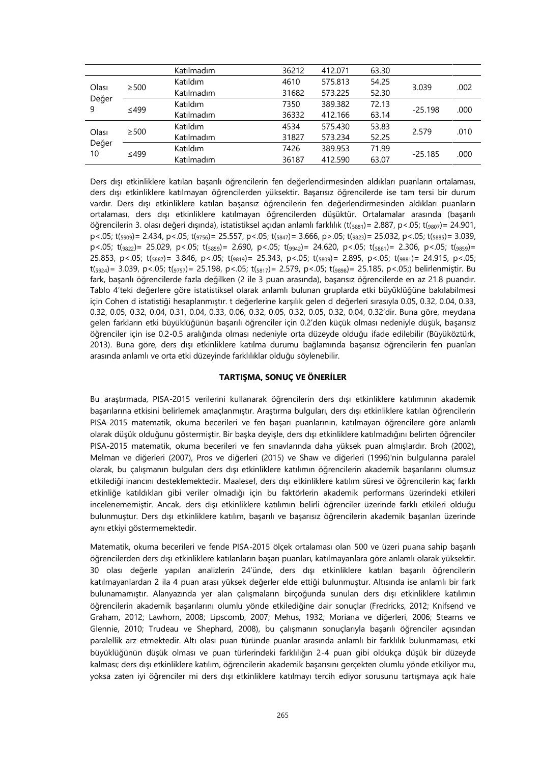|                                           |            | Katılmadım | 36212 | 412.071 | 63.30 |           |      |
|-------------------------------------------|------------|------------|-------|---------|-------|-----------|------|
| Olası<br>$\geq$ 500<br>Değer<br>9<br>≤499 |            | Katıldım   | 4610  | 575.813 | 54.25 |           |      |
|                                           |            | Katılmadım | 31682 | 573.225 | 52.30 | 3.039     | .002 |
|                                           |            | Katıldım   | 7350  | 389.382 | 72.13 | $-25.198$ | .000 |
|                                           |            | Katılmadım | 36332 | 412.166 | 63.14 |           |      |
| Olası<br>Değer<br>10                      | $\geq$ 500 | Katıldım   | 4534  | 575.430 | 53.83 | 2.579     |      |
|                                           |            | Katılmadım | 31827 | 573.234 | 52.25 |           | .010 |
|                                           | ≤499       | Katıldım   | 7426  | 389.953 | 71.99 | $-25.185$ |      |
|                                           |            | Katılmadım | 36187 | 412.590 | 63.07 |           | .000 |

Ders dışı etkinliklere katılan başarılı öğrencilerin fen değerlendirmesinden aldıkları puanların ortalaması, ders dışı etkinliklere katılmayan öğrencilerden yüksektir. Başarısız öğrencilerde ise tam tersi bir durum vardır. Ders dışı etkinliklere katılan başarısız öğrencilerin fen değerlendirmesinden aldıkları puanların ortalaması, ders dışı etkinliklere katılmayan öğrencilerden düşüktür. Ortalamalar arasında (başarılı öğrencilerin 3. olası değeri dışında), istatistiksel açıdan anlamlı farklılık (t(5881)= 2.887, p <.05; t(9807)= 24.901,  $p$ <.05; t(<sub>5909</sub>)= 2.434,  $p$ <.05; t(<sub>9756</sub>)= 25.557,  $p$ <.05; t(<sub>5847</sub>)= 3.666,  $p$ >.05; t( $g_{823}$ )= 25.032,  $p$ <.05; t( $g_{885}$ )= 3.039, p<.05; t(9822)= 25.029, p<.05; t(5859)= 2.690, p<.05; t(9942)= 24.620, p<.05; t(5861)= 2.306, p<.05; t(9859)= 25.853, p<.05; t(5887)= 3.846, p<.05; t(9819)= 25.343, p<.05; t(5809)= 2.895, p<.05; t(9881)= 24.915, p<.05;  $t$ (5924) = 3.039, p <.05;  $t$ (9757) = 25.198, p <.05;  $t$ (5817) = 2.579, p <.05;  $t$ (9898) = 25.185, p <.05;) belirlenmiştir. Bu fark, başarılı öğrencilerde fazla değilken (2 ile 3 puan arasında), başarısız öğrencilerde en az 21.8 puandır. Tablo 4'teki değerlere göre istatistiksel olarak anlamlı bulunan gruplarda etki büyüklüğüne bakılabilmesi için Cohen d istatistiği hesaplanmıştır. t değerlerine karşılık gelen d değerleri sırasıyla 0.05, 0.32, 0.04, 0.33, 0.32, 0.05, 0.32, 0.04, 0.31, 0.04, 0.33, 0.06, 0.32, 0.05, 0.32, 0.05, 0.32, 0.04, 0.32'dir. Buna göre, meydana gelen farkların etki büyüklüğünün başarılı öğrenciler için 0.2'den küçük olması nedeniyle düşük, başarısız öğrenciler için ise 0.2-0.5 aralığında olması nedeniyle orta düzeyde olduğu ifade edilebilir (Büyüköztürk, 2013). Buna göre, ders dışı etkinliklere katılma durumu bağlamında başarısız öğrencilerin fen puanları arasında anlamlı ve orta etki düzeyinde farklılıklar olduğu söylenebilir.

# **TARTIŞMA, SONUÇ VE ÖNERİLER**

Bu araştırmada, PISA-2015 verilerini kullanarak öğrencilerin ders dışı etkinliklere katılımının akademik başarılarına etkisini belirlemek amaçlanmıştır. Araştırma bulguları, ders dışı etkinliklere katılan öğrencilerin PISA-2015 matematik, okuma becerileri ve fen başarı puanlarının, katılmayan öğrencilere göre anlamlı olarak düşük olduğunu göstermiştir. Bir başka deyişle, ders dışı etkinliklere katılmadığını belirten öğrenciler PISA-2015 matematik, okuma becerileri ve fen sınavlarında daha yüksek puan almışlardır. Broh (2002), Melman ve diğerleri (2007), Pros ve diğerleri (2015) ve Shaw ve diğerleri (1996)'nin bulgularına paralel olarak, bu çalışmanın bulguları ders dışı etkinliklere katılımın öğrencilerin akademik başarılarını olumsuz etkilediği inancını desteklemektedir. Maalesef, ders dışı etkinliklere katılım süresi ve öğrencilerin kaç farklı etkinliğe katıldıkları gibi veriler olmadığı için bu faktörlerin akademik performans üzerindeki etkileri incelenememiştir. Ancak, ders dışı etkinliklere katılımın belirli öğrenciler üzerinde farklı etkileri olduğu bulunmuştur. Ders dışı etkinliklere katılım, başarılı ve başarısız öğrencilerin akademik başarıları üzerinde aynı etkiyi göstermemektedir.

Matematik, okuma becerileri ve fende PISA-2015 ölçek ortalaması olan 500 ve üzeri puana sahip başarılı öğrencilerden ders dışı etkinliklere katılanların başarı puanları, katılmayanlara göre anlamlı olarak yüksektir. 30 olası değerle yapılan analizlerin 24'ünde, ders dışı etkinliklere katılan başarılı öğrencilerin katılmayanlardan 2 ila 4 puan arası yüksek değerler elde ettiği bulunmuştur. Altısında ise anlamlı bir fark bulunamamıştır. Alanyazında yer alan çalışmaların birçoğunda sunulan ders dışı etkinliklere katılımın öğrencilerin akademik başarılarını olumlu yönde etkilediğine dair sonuçlar (Fredricks, 2012; Knifsend ve Graham, 2012; Lawhorn, 2008; Lipscomb, 2007; Mehus, 1932; Moriana ve diğerleri, 2006; Stearns ve Glennie, 2010; Trudeau ve Shephard, 2008), bu çalışmanın sonuçlarıyla başarılı öğrenciler açısından paralellik arz etmektedir. Altı olası puan türünde puanlar arasında anlamlı bir farklılık bulunmaması, etki büyüklüğünün düşük olması ve puan türlerindeki farklılığın 2-4 puan gibi oldukça düşük bir düzeyde kalması; ders dışı etkinliklere katılım, öğrencilerin akademik başarısını gerçekten olumlu yönde etkiliyor mu, yoksa zaten iyi öğrenciler mi ders dışı etkinliklere katılmayı tercih ediyor sorusunu tartışmaya açık hale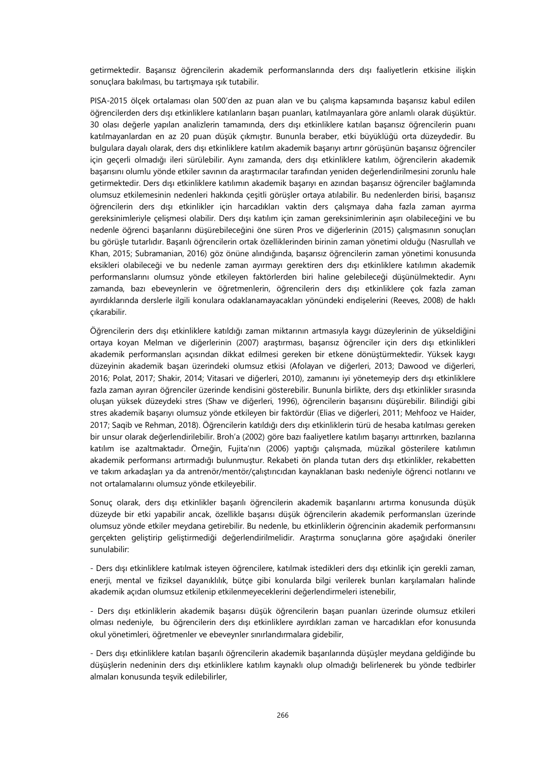getirmektedir. Başarısız öğrencilerin akademik performanslarında ders dışı faaliyetlerin etkisine ilişkin sonuçlara bakılması, bu tartışmaya ışık tutabilir.

PISA-2015 ölçek ortalaması olan 500'den az puan alan ve bu çalışma kapsamında başarısız kabul edilen öğrencilerden ders dışı etkinliklere katılanların başarı puanları, katılmayanlara göre anlamlı olarak düşüktür. 30 olası değerle yapılan analizlerin tamamında, ders dışı etkinliklere katılan başarısız öğrencilerin puanı katılmayanlardan en az 20 puan düşük çıkmıştır. Bununla beraber, etki büyüklüğü orta düzeydedir. Bu bulgulara dayalı olarak, ders dışı etkinliklere katılım akademik başarıyı artırır görüşünün başarısız öğrenciler için geçerli olmadığı ileri sürülebilir. Aynı zamanda, ders dışı etkinliklere katılım, öğrencilerin akademik başarısını olumlu yönde etkiler savının da araştırmacılar tarafından yeniden değerlendirilmesini zorunlu hale getirmektedir. Ders dışı etkinliklere katılımın akademik başarıyı en azından başarısız öğrenciler bağlamında olumsuz etkilemesinin nedenleri hakkında çeşitli görüşler ortaya atılabilir. Bu nedenlerden birisi, başarısız öğrencilerin ders dışı etkinlikler için harcadıkları vaktin ders çalışmaya daha fazla zaman ayırma gereksinimleriyle çelişmesi olabilir. Ders dışı katılım için zaman gereksinimlerinin aşırı olabileceğini ve bu nedenle öğrenci başarılarını düşürebileceğini öne süren Pros ve diğerlerinin (2015) çalışmasının sonuçları bu görüşle tutarlıdır. Başarılı öğrencilerin ortak özelliklerinden birinin zaman yönetimi olduğu (Nasrullah ve Khan, 2015; Subramanian, 2016) göz önüne alındığında, başarısız öğrencilerin zaman yönetimi konusunda eksikleri olabileceği ve bu nedenle zaman ayırmayı gerektiren ders dışı etkinliklere katılımın akademik performanslarını olumsuz yönde etkileyen faktörlerden biri haline gelebileceği düşünülmektedir. Aynı zamanda, bazı ebeveynlerin ve öğretmenlerin, öğrencilerin ders dışı etkinliklere çok fazla zaman ayırdıklarında derslerle ilgili konulara odaklanamayacakları yönündeki endişelerini (Reeves, 2008) de haklı çıkarabilir.

Öğrencilerin ders dışı etkinliklere katıldığı zaman miktarının artmasıyla kaygı düzeylerinin de yükseldiğini ortaya koyan Melman ve diğerlerinin (2007) araştırması, başarısız öğrenciler için ders dışı etkinlikleri akademik performansları açısından dikkat edilmesi gereken bir etkene dönüştürmektedir. Yüksek kaygı düzeyinin akademik başarı üzerindeki olumsuz etkisi (Afolayan ve diğerleri, 2013; Dawood ve diğerleri, 2016; Polat, 2017; Shakir, 2014; Vitasari ve diğerleri, 2010), zamanını iyi yönetemeyip ders dışı etkinliklere fazla zaman ayıran öğrenciler üzerinde kendisini gösterebilir. Bununla birlikte, ders dışı etkinlikler sırasında oluşan yüksek düzeydeki stres (Shaw ve diğerleri, 1996), öğrencilerin başarısını düşürebilir. Bilindiği gibi stres akademik başarıyı olumsuz yönde etkileyen bir faktördür (Elias ve diğerleri, 2011; Mehfooz ve Haider, 2017; Saqib ve Rehman, 2018). Öğrencilerin katıldığı ders dışı etkinliklerin türü de hesaba katılması gereken bir unsur olarak değerlendirilebilir. Broh'a (2002) göre bazı faaliyetlere katılım başarıyı arttırırken, bazılarına katılım ise azaltmaktadır. Örneğin, Fujita'nın (2006) yaptığı çalışmada, müzikal gösterilere katılımın akademik performansı artırmadığı bulunmuştur. Rekabeti ön planda tutan ders dışı etkinlikler, rekabetten ve takım arkadaşları ya da antrenör/mentör/çalıştırıcıdan kaynaklanan baskı nedeniyle öğrenci notlarını ve not ortalamalarını olumsuz yönde etkileyebilir.

Sonuç olarak, ders dışı etkinlikler başarılı öğrencilerin akademik başarılarını artırma konusunda düşük düzeyde bir etki yapabilir ancak, özellikle başarısı düşük öğrencilerin akademik performansları üzerinde olumsuz yönde etkiler meydana getirebilir. Bu nedenle, bu etkinliklerin öğrencinin akademik performansını gerçekten geliştirip geliştirmediği değerlendirilmelidir. Araştırma sonuçlarına göre aşağıdaki öneriler sunulabilir:

- Ders dışı etkinliklere katılmak isteyen öğrencilere, katılmak istedikleri ders dışı etkinlik için gerekli zaman, enerji, mental ve fiziksel dayanıklılık, bütçe gibi konularda bilgi verilerek bunları karşılamaları halinde akademik açıdan olumsuz etkilenip etkilenmeyeceklerini değerlendirmeleri istenebilir,

- Ders dışı etkinliklerin akademik başarısı düşük öğrencilerin başarı puanları üzerinde olumsuz etkileri olması nedeniyle, bu öğrencilerin ders dışı etkinliklere ayırdıkları zaman ve harcadıkları efor konusunda okul yönetimleri, öğretmenler ve ebeveynler sınırlandırmalara gidebilir,

- Ders dışı etkinliklere katılan başarılı öğrencilerin akademik başarılarında düşüşler meydana geldiğinde bu düşüşlerin nedeninin ders dışı etkinliklere katılım kaynaklı olup olmadığı belirlenerek bu yönde tedbirler almaları konusunda teşvik edilebilirler,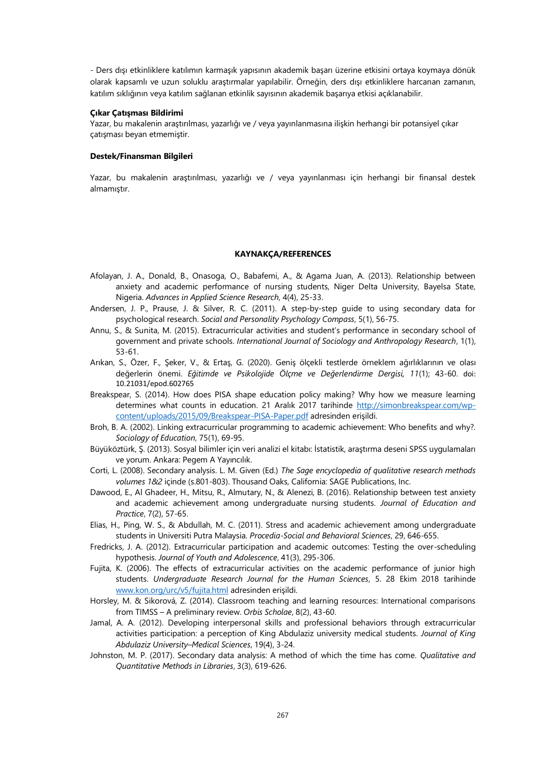- Ders dışı etkinliklere katılımın karmaşık yapısının akademik başarı üzerine etkisini ortaya koymaya dönük olarak kapsamlı ve uzun soluklu araştırmalar yapılabilir. Örneğin, ders dışı etkinliklere harcanan zamanın, katılım sıklığının veya katılım sağlanan etkinlik sayısının akademik başarıya etkisi açıklanabilir.

## **Çıkar Çatışması Bildirimi**

Yazar, bu makalenin araştırılması, yazarlığı ve / veya yayınlanmasına ilişkin herhangi bir potansiyel çıkar çatışması beyan etmemiştir.

# **Destek/Finansman Bilgileri**

Yazar, bu makalenin araştırılması, yazarlığı ve / veya yayınlanması için herhangi bir finansal destek almamıştır.

### **KAYNAKÇA/REFERENCES**

- Afolayan, J. A., Donald, B., Onasoga, O., Babafemi, A., & Agama Juan, A. (2013). Relationship between anxiety and academic performance of nursing students, Niger Delta University, Bayelsa State, Nigeria. *Advances in Applied Science Research*, 4(4), 25-33.
- Andersen, J. P., Prause, J. & Silver, R. C. (2011). A step-by-step guide to using secondary data for psychological research. *Social and Personality Psychology Compass*, 5(1), 56-75.
- Annu, S., & Sunita, M. (2015). Extracurricular activities and student's performance in secondary school of government and private schools. *International Journal of Sociology and Anthropology Research*, 1(1), 53-61.
- Arıkan, S., Özer, F., Şeker, V., & Ertaş, G. (2020). Geniş ölçekli testlerde örneklem ağırlıklarının ve olası değerlerin önemi. *Eğitimde ve Psikolojide Ölçme ve Değerlendirme Dergisi, 11*(1); 43-60. doi: 10.21031/epod.602765
- Breakspear, S. (2014). How does PISA shape education policy making? Why how we measure learning determines what counts in education. 21 Aralık 2017 tarihinde [http://simonbreakspear.com/wp](http://simonbreakspear.com/wp-content/uploads/2015/09/Breakspear-PISA-Paper.pdf)[content/uploads/2015/09/Breakspear-PISA-Paper.pdf](http://simonbreakspear.com/wp-content/uploads/2015/09/Breakspear-PISA-Paper.pdf) adresinden erişildi.
- Broh, B. A. (2002). Linking extracurricular programming to academic achievement: Who benefits and why?. *Sociology of Education*, 75(1), 69-95.
- Büyüköztürk, Ş. (2013). Sosyal bilimler için veri analizi el kitabı: İstatistik, araştırma deseni SPSS uygulamaları ve yorum. Ankara: Pegem A Yayıncılık.
- Corti, L. (2008). Secondary analysis. L. M. Given (Ed.) *The Sage encyclopedia of qualitative research methods volumes 1&2* içinde (s.801-803). Thousand Oaks, California: SAGE Publications, Inc.
- Dawood, E., Al Ghadeer, H., Mitsu, R., Almutary, N., & Alenezi, B. (2016). Relationship between test anxiety and academic achievement among undergraduate nursing students. *Journal of Education and Practice*, 7(2), 57-65.
- Elias, H., Ping, W. S., & Abdullah, M. C. (2011). Stress and academic achievement among undergraduate students in Universiti Putra Malaysia. *Procedia-Social and Behavioral Sciences*, 29, 646-655.
- Fredricks, J. A. (2012). Extracurricular participation and academic outcomes: Testing the over-scheduling hypothesis. *Journal of Youth and Adolescence*, 41(3), 295-306.
- Fujita, K. (2006). The effects of extracurricular activities on the academic performance of junior high students. *Undergraduate Research Journal for the Human Sciences*, 5. 28 Ekim 2018 tarihinde [www.kon.org/urc/v5/fujita.html](http://www.kon.org/urc/v5/fujita.html) adresinden erişildi.
- Horsley, M. & Sikorová, Z. (2014). Classroom teaching and learning resources: International comparisons from TIMSS – A preliminary review. *Orbis Scholae*, 8(2), 43-60.
- Jamal, A. A. (2012). Developing interpersonal skills and professional behaviors through extracurricular activities participation: a perception of King Abdulaziz university medical students. *Journal of King Abdulaziz University–Medical Sciences*, 19(4), 3-24.
- Johnston, M. P. (2017). Secondary data analysis: A method of which the time has come. *Qualitative and Quantitative Methods in Libraries*, 3(3), 619-626.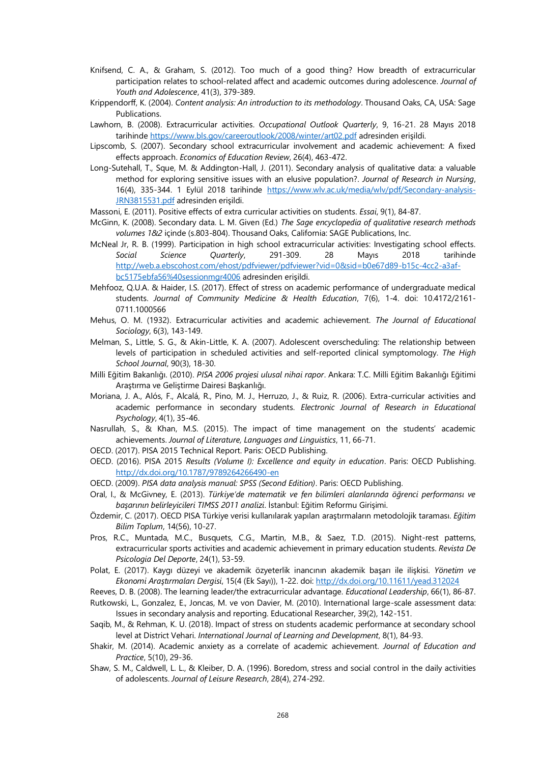- Knifsend, C. A., & Graham, S. (2012). Too much of a good thing? How breadth of extracurricular participation relates to school-related affect and academic outcomes during adolescence. *Journal of Youth and Adolescence*, 41(3), 379-389.
- Krippendorff, K. (2004). *Content analysis: An introduction to its methodology*. Thousand Oaks, CA, USA: Sage Publications.
- Lawhorn, B. (2008). Extracurricular activities. *Occupational Outlook Quarterly*, 9, 16-21. 28 Mayıs 2018 tarihind[e https://www.bls.gov/careeroutlook/2008/winter/art02.pdf](https://www.bls.gov/careeroutlook/2008/winter/art02.pdf) adresinden erişildi.
- Lipscomb, S. (2007). Secondary school extracurricular involvement and academic achievement: A fixed effects approach. *Economics of Education Review*, 26(4), 463-472.
- Long-Sutehall, T., Sque, M. & Addington-Hall, J. (2011). Secondary analysis of qualitative data: a valuable method for exploring sensitive issues with an elusive population?. *Journal of Research in Nursing*, 16(4), 335-344. 1 Eylül 2018 tarihinde [https://www.wlv.ac.uk/media/wlv/pdf/Secondary-analysis-](https://www.wlv.ac.uk/media/wlv/pdf/Secondary-analysis-JRN3815531.pdf)[JRN3815531.pdf](https://www.wlv.ac.uk/media/wlv/pdf/Secondary-analysis-JRN3815531.pdf) adresinden erişildi.

Massoni, E. (2011). Positive effects of extra curricular activities on students. *Essai*, 9(1), 84-87.

- McGinn, K. (2008). Secondary data. L. M. Given (Ed.) *The Sage encyclopedia of qualitative research methods volumes 1&2* içinde (s.803-804). Thousand Oaks, California: SAGE Publications, Inc.
- McNeal Jr, R. B. (1999). Participation in high school extracurricular activities: Investigating school effects. *Social Science Quarterly*, 291-309. 28 Mayıs 2018 tarihinde [http://web.a.ebscohost.com/ehost/pdfviewer/pdfviewer?vid=0&sid=b0e67d89-b15c-4cc2-a3af](http://web.a.ebscohost.com/ehost/pdfviewer/pdfviewer?vid=0&sid=b0e67d89-b15c-4cc2-a3af-bc5175ebfa56%40sessionmgr4006)[bc5175ebfa56%40sessionmgr4006](http://web.a.ebscohost.com/ehost/pdfviewer/pdfviewer?vid=0&sid=b0e67d89-b15c-4cc2-a3af-bc5175ebfa56%40sessionmgr4006) adresinden erişildi.
- Mehfooz, Q.U.A. & Haider, I.S. (2017). Effect of stress on academic performance of undergraduate medical students. *Journal of Community Medicine & Health Education*, 7(6), 1-4. doi: 10.4172/2161- 0711.1000566
- Mehus, O. M. (1932). Extracurricular activities and academic achievement. *The Journal of Educational Sociology*, 6(3), 143-149.
- Melman, S., Little, S. G., & Akin-Little, K. A. (2007). Adolescent overscheduling: The relationship between levels of participation in scheduled activities and self-reported clinical symptomology. *The High School Journal*, 90(3), 18-30.
- Milli Eğitim Bakanlığı. (2010). *PISA 2006 projesi ulusal nihai rapor*. Ankara: T.C. Milli Eğitim Bakanlığı Eğitimi Araştırma ve Geliştirme Dairesi Başkanlığı.
- Moriana, J. A., Alós, F., Alcalá, R., Pino, M. J., Herruzo, J., & Ruiz, R. (2006). Extra-curricular activities and academic performance in secondary students. *Electronic Journal of Research in Educational Psychology*, 4(1), 35-46.
- Nasrullah, S., & Khan, M.S. (2015). The impact of time management on the students' academic achievements. *Journal of Literature, Languages and Linguistics*, 11, 66-71.
- OECD. (2017). PISA 2015 Technical Report. Paris: OECD Publishing.
- OECD. (2016). PISA 2015 *Results (Volume I): Excellence and equity in education*. Paris: OECD Publishing. <http://dx.doi.org/10.1787/9789264266490-en>
- OECD. (2009). *PISA data analysis manual: SPSS (Second Edition)*. Paris: OECD Publishing.
- Oral, I., & McGivney, E. (2013). *Türkiye'de matematik ve fen bilimleri alanlarında öğrenci performansı ve başarının belirleyicileri TIMSS 2011 analizi*. İstanbul: Eğitim Reformu Girişimi.
- Özdemir, C. (2017). OECD PISA Türkiye verisi kullanılarak yapılan araştırmaların metodolojik taraması. *Eğitim Bilim Toplum*, 14(56), 10-27.
- Pros, R.C., Muntada, M.C., Busquets, C.G., Martin, M.B., & Saez, T.D. (2015). Night-rest patterns, extracurricular sports activities and academic achievement in primary education students. *Revista De Psicologia Del Deporte*, 24(1), 53-59.
- Polat, E. (2017). Kaygı düzeyi ve akademik özyeterlik inancının akademik başarı ile ilişkisi. *Yönetim ve Ekonomi Araştırmaları Dergisi*, 15(4 (Ek Sayı)), 1-22. doi[: http://dx.doi.org/10.11611/yead.312024](http://dx.doi.org/10.11611/yead.312024)

Reeves, D. B. (2008). The learning leader/the extracurricular advantage. *Educational Leadership*, 66(1), 86-87.

- Rutkowski, L., Gonzalez, E., Joncas, M. ve von Davier, M. (2010). International large-scale assessment data: Issues in secondary analysis and reporting. Educational Researcher, 39(2), 142-151.
- Saqib, M., & Rehman, K. U. (2018). Impact of stress on students academic performance at secondary school level at District Vehari. *International Journal of Learning and Development*, 8(1), 84-93.
- Shakir, M. (2014). Academic anxiety as a correlate of academic achievement. *Journal of Education and Practice*, 5(10), 29-36.
- Shaw, S. M., Caldwell, L. L., & Kleiber, D. A. (1996). Boredom, stress and social control in the daily activities of adolescents. *Journal of Leisure Research*, 28(4), 274-292.